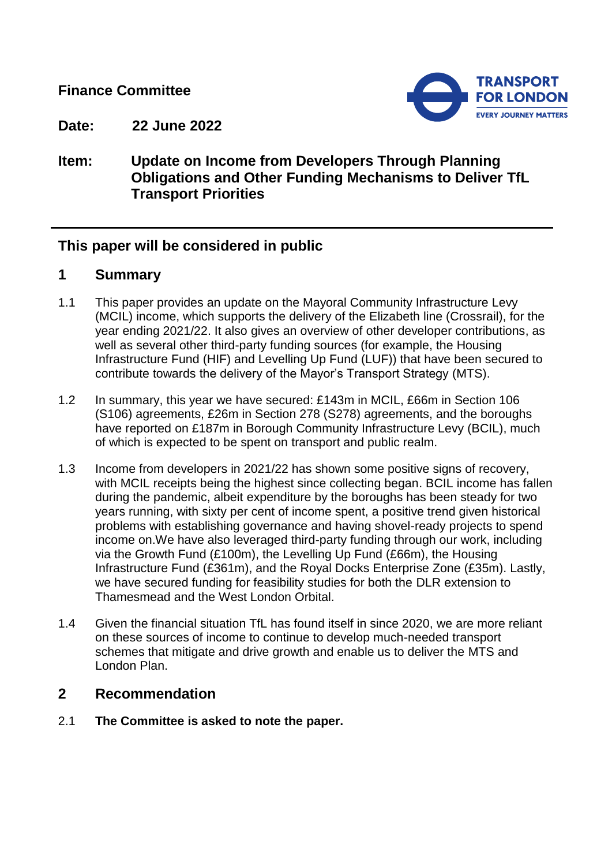# **Finance Committee**



**Date: 22 June 2022**

# **Item: Update on Income from Developers Through Planning Obligations and Other Funding Mechanisms to Deliver TfL Transport Priorities**

# **This paper will be considered in public**

## **1 Summary**

- 1.1 This paper provides an update on the Mayoral Community Infrastructure Levy (MCIL) income, which supports the delivery of the Elizabeth line (Crossrail), for the year ending 2021/22. It also gives an overview of other developer contributions, as well as several other third-party funding sources (for example, the Housing Infrastructure Fund (HIF) and Levelling Up Fund (LUF)) that have been secured to contribute towards the delivery of the Mayor's Transport Strategy (MTS).
- 1.2 In summary, this year we have secured: £143m in MCIL, £66m in Section 106 (S106) agreements, £26m in Section 278 (S278) agreements, and the boroughs have reported on £187m in Borough Community Infrastructure Levy (BCIL), much of which is expected to be spent on transport and public realm.
- 1.3 Income from developers in 2021/22 has shown some positive signs of recovery, with MCIL receipts being the highest since collecting began. BCIL income has fallen during the pandemic, albeit expenditure by the boroughs has been steady for two years running, with sixty per cent of income spent, a positive trend given historical problems with establishing governance and having shovel-ready projects to spend income on.We have also leveraged third-party funding through our work, including via the Growth Fund (£100m), the Levelling Up Fund (£66m), the Housing Infrastructure Fund (£361m), and the Royal Docks Enterprise Zone (£35m). Lastly, we have secured funding for feasibility studies for both the DLR extension to Thamesmead and the West London Orbital.
- 1.4 Given the financial situation TfL has found itself in since 2020, we are more reliant on these sources of income to continue to develop much-needed transport schemes that mitigate and drive growth and enable us to deliver the MTS and London Plan.

# **2 Recommendation**

2.1 **The Committee is asked to note the paper.**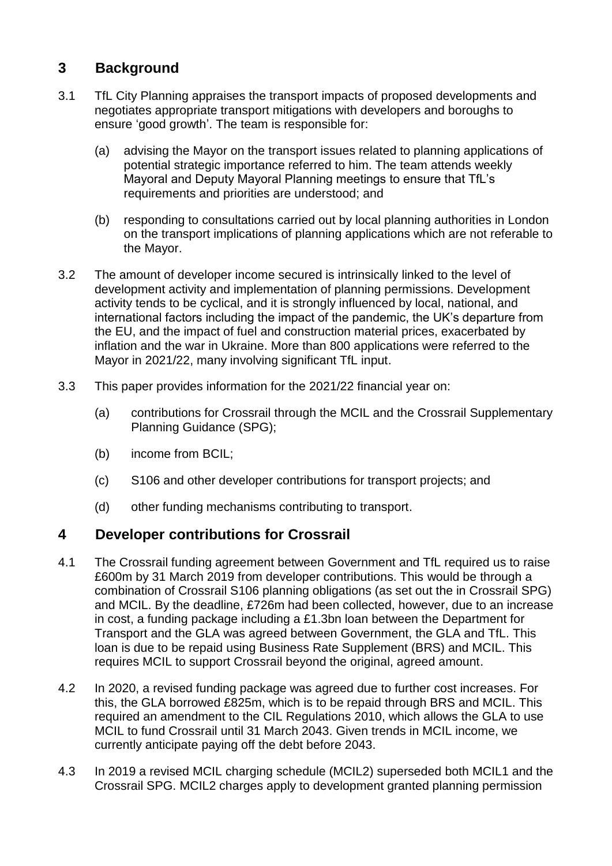# **3 Background**

- 3.1 TfL City Planning appraises the transport impacts of proposed developments and negotiates appropriate transport mitigations with developers and boroughs to ensure 'good growth'. The team is responsible for:
	- (a) advising the Mayor on the transport issues related to planning applications of potential strategic importance referred to him. The team attends weekly Mayoral and Deputy Mayoral Planning meetings to ensure that TfL's requirements and priorities are understood; and
	- (b) responding to consultations carried out by local planning authorities in London on the transport implications of planning applications which are not referable to the Mayor.
- 3.2 The amount of developer income secured is intrinsically linked to the level of development activity and implementation of planning permissions. Development activity tends to be cyclical, and it is strongly influenced by local, national, and international factors including the impact of the pandemic, the UK's departure from the EU, and the impact of fuel and construction material prices, exacerbated by inflation and the war in Ukraine. More than 800 applications were referred to the Mayor in 2021/22, many involving significant TfL input.
- 3.3 This paper provides information for the 2021/22 financial year on:
	- (a) contributions for Crossrail through the MCIL and the Crossrail Supplementary Planning Guidance (SPG);
	- (b) income from BCIL;
	- (c) S106 and other developer contributions for transport projects; and
	- (d) other funding mechanisms contributing to transport.

## **4 Developer contributions for Crossrail**

- 4.1 The Crossrail funding agreement between Government and TfL required us to raise £600m by 31 March 2019 from developer contributions. This would be through a combination of Crossrail S106 planning obligations (as set out the in Crossrail SPG) and MCIL. By the deadline, £726m had been collected, however, due to an increase in cost, a funding package including a £1.3bn loan between the Department for Transport and the GLA was agreed between Government, the GLA and TfL. This loan is due to be repaid using Business Rate Supplement (BRS) and MCIL. This requires MCIL to support Crossrail beyond the original, agreed amount.
- 4.2 In 2020, a revised funding package was agreed due to further cost increases. For this, the GLA borrowed £825m, which is to be repaid through BRS and MCIL. This required an amendment to the CIL Regulations 2010, which allows the GLA to use MCIL to fund Crossrail until 31 March 2043. Given trends in MCIL income, we currently anticipate paying off the debt before 2043.
- 4.3 In 2019 a revised MCIL charging schedule (MCIL2) superseded both MCIL1 and the Crossrail SPG. MCIL2 charges apply to development granted planning permission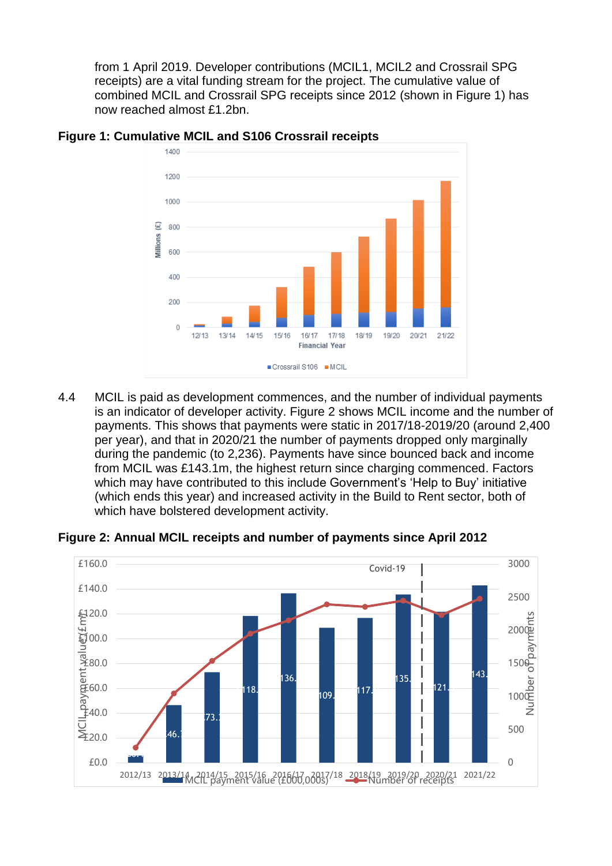from 1 April 2019. Developer contributions (MCIL1, MCIL2 and Crossrail SPG receipts) are a vital funding stream for the project. The cumulative value of combined MCIL and Crossrail SPG receipts since 2012 (shown in Figure 1) has now reached almost £1.2bn.



**Figure 1: Cumulative MCIL and S106 Crossrail receipts**

4.4 MCIL is paid as development commences, and the number of individual payments is an indicator of developer activity. Figure 2 shows MCIL income and the number of payments. This shows that payments were static in 2017/18-2019/20 (around 2,400 per year), and that in 2020/21 the number of payments dropped only marginally during the pandemic (to 2,236). Payments have since bounced back and income from MCIL was £143.1m, the highest return since charging commenced. Factors which may have contributed to this include Government's 'Help to Buy' initiative (which ends this year) and increased activity in the Build to Rent sector, both of which have bolstered development activity.



**Figure 2: Annual MCIL receipts and number of payments since April 2012**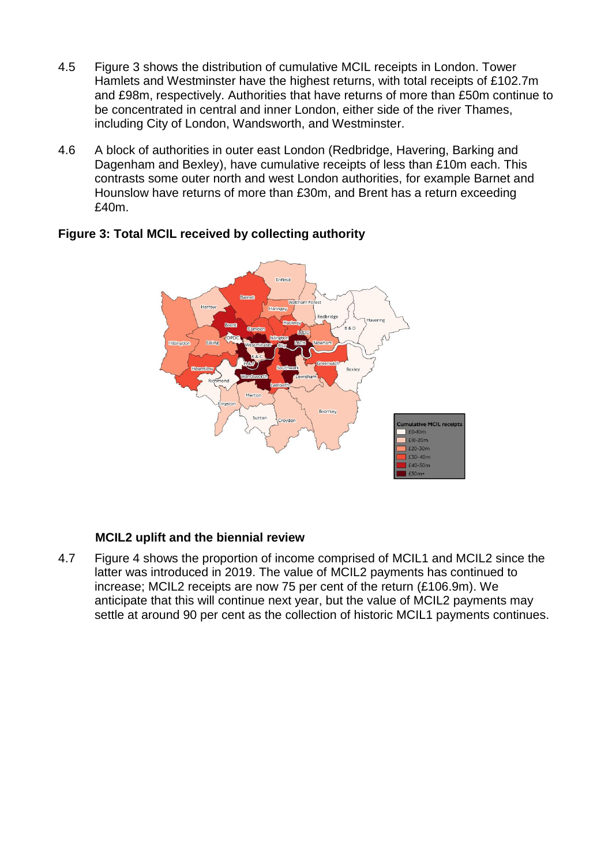- 4.5 Figure 3 shows the distribution of cumulative MCIL receipts in London. Tower Hamlets and Westminster have the highest returns, with total receipts of £102.7m and £98m, respectively. Authorities that have returns of more than £50m continue to be concentrated in central and inner London, either side of the river Thames, including City of London, Wandsworth, and Westminster.
- 4.6 A block of authorities in outer east London (Redbridge, Havering, Barking and Dagenham and Bexley), have cumulative receipts of less than £10m each. This contrasts some outer north and west London authorities, for example Barnet and Hounslow have returns of more than £30m, and Brent has a return exceeding £40m.



### **Figure 3: Total MCIL received by collecting authority**

### **MCIL2 uplift and the biennial review**

4.7 Figure 4 shows the proportion of income comprised of MCIL1 and MCIL2 since the latter was introduced in 2019. The value of MCIL2 payments has continued to increase; MCIL2 receipts are now 75 per cent of the return (£106.9m). We anticipate that this will continue next year, but the value of MCIL2 payments may settle at around 90 per cent as the collection of historic MCIL1 payments continues.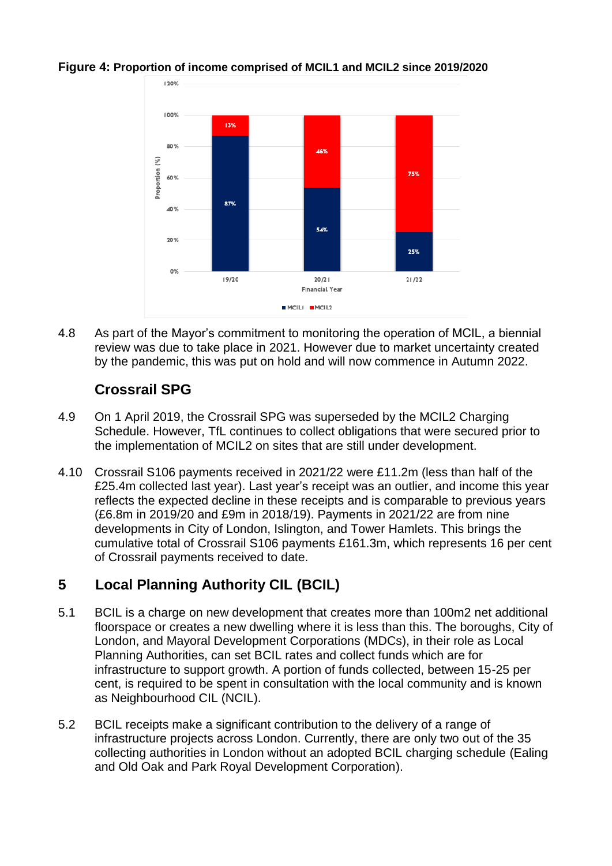

#### **Figure 4: Proportion of income comprised of MCIL1 and MCIL2 since 2019/2020**

4.8 As part of the Mayor's commitment to monitoring the operation of MCIL, a biennial review was due to take place in 2021. However due to market uncertainty created by the pandemic, this was put on hold and will now commence in Autumn 2022.

# **Crossrail SPG**

- 4.9 On 1 April 2019, the Crossrail SPG was superseded by the MCIL2 Charging Schedule. However, TfL continues to collect obligations that were secured prior to the implementation of MCIL2 on sites that are still under development.
- 4.10 Crossrail S106 payments received in 2021/22 were £11.2m (less than half of the £25.4m collected last year). Last year's receipt was an outlier, and income this year reflects the expected decline in these receipts and is comparable to previous years (£6.8m in 2019/20 and £9m in 2018/19). Payments in 2021/22 are from nine developments in City of London, Islington, and Tower Hamlets. This brings the cumulative total of Crossrail S106 payments £161.3m, which represents 16 per cent of Crossrail payments received to date.

# **5 Local Planning Authority CIL (BCIL)**

- 5.1 BCIL is a charge on new development that creates more than 100m2 net additional floorspace or creates a new dwelling where it is less than this. The boroughs, City of London, and Mayoral Development Corporations (MDCs), in their role as Local Planning Authorities, can set BCIL rates and collect funds which are for infrastructure to support growth. A portion of funds collected, between 15-25 per cent, is required to be spent in consultation with the local community and is known as Neighbourhood CIL (NCIL).
- 5.2 BCIL receipts make a significant contribution to the delivery of a range of infrastructure projects across London. Currently, there are only two out of the 35 collecting authorities in London without an adopted BCIL charging schedule (Ealing and Old Oak and Park Royal Development Corporation).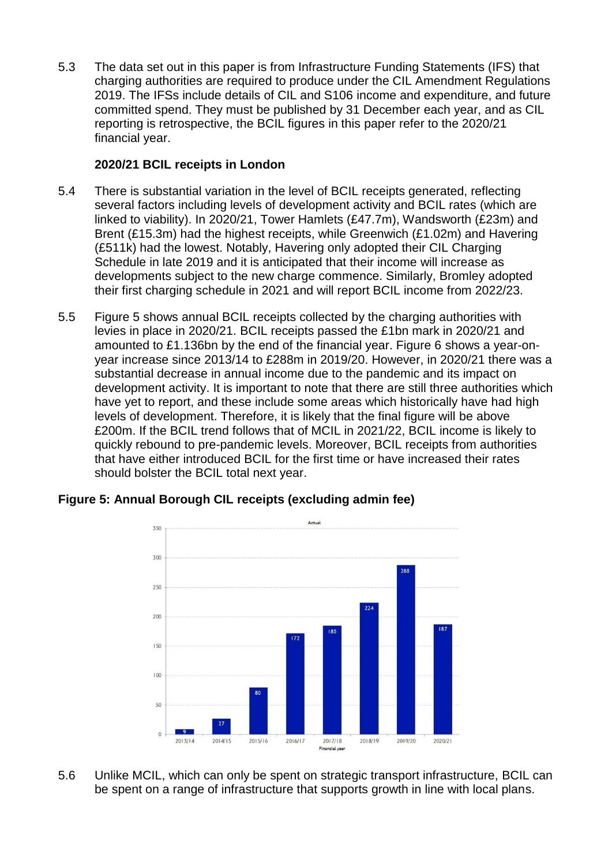5.3 The data set out in this paper is from Infrastructure Funding Statements (IFS) that charging authorities are required to produce under the CIL Amendment Regulations 2019. The IFSs include details of CIL and S106 income and expenditure, and future committed spend. They must be published by 31 December each year, and as CIL reporting is retrospective, the BCIL figures in this paper refer to the 2020/21 financial year.

## **2020/21 BCIL receipts in London**

- 5.4 There is substantial variation in the level of BCIL receipts generated, reflecting several factors including levels of development activity and BCIL rates (which are linked to viability). In 2020/21, Tower Hamlets (£47.7m), Wandsworth (£23m) and Brent (£15.3m) had the highest receipts, while Greenwich (£1.02m) and Havering (£511k) had the lowest. Notably, Havering only adopted their CIL Charging Schedule in late 2019 and it is anticipated that their income will increase as developments subject to the new charge commence. Similarly, Bromley adopted their first charging schedule in 2021 and will report BCIL income from 2022/23.
- 5.5 Figure 5 shows annual BCIL receipts collected by the charging authorities with levies in place in 2020/21. BCIL receipts passed the £1bn mark in 2020/21 and amounted to £1.136bn by the end of the financial year. Figure 6 shows a year-onyear increase since 2013/14 to £288m in 2019/20. However, in 2020/21 there was a substantial decrease in annual income due to the pandemic and its impact on development activity. It is important to note that there are still three authorities which have yet to report, and these include some areas which historically have had high levels of development. Therefore, it is likely that the final figure will be above £200m. If the BCIL trend follows that of MCIL in 2021/22, BCIL income is likely to quickly rebound to pre-pandemic levels. Moreover, BCIL receipts from authorities that have either introduced BCIL for the first time or have increased their rates should bolster the BCIL total next year.



# **Figure 5: Annual Borough CIL receipts (excluding admin fee)**

5.6 Unlike MCIL, which can only be spent on strategic transport infrastructure, BCIL can be spent on a range of infrastructure that supports growth in line with local plans.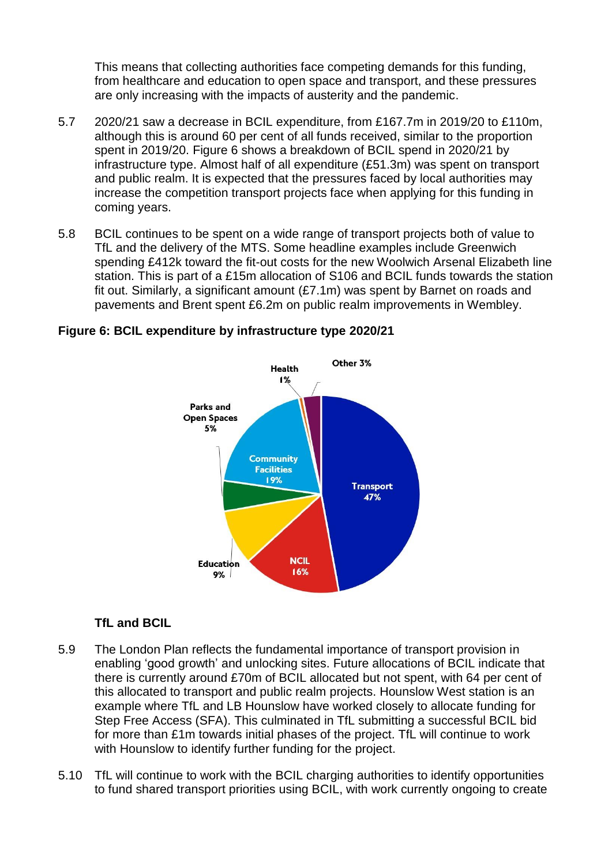This means that collecting authorities face competing demands for this funding, from healthcare and education to open space and transport, and these pressures are only increasing with the impacts of austerity and the pandemic.

- 5.7 2020/21 saw a decrease in BCIL expenditure, from £167.7m in 2019/20 to £110m, although this is around 60 per cent of all funds received, similar to the proportion spent in 2019/20. Figure 6 shows a breakdown of BCIL spend in 2020/21 by infrastructure type. Almost half of all expenditure (£51.3m) was spent on transport and public realm. It is expected that the pressures faced by local authorities may increase the competition transport projects face when applying for this funding in coming years.
- 5.8 BCIL continues to be spent on a wide range of transport projects both of value to TfL and the delivery of the MTS. Some headline examples include Greenwich spending £412k toward the fit-out costs for the new Woolwich Arsenal Elizabeth line station. This is part of a £15m allocation of S106 and BCIL funds towards the station fit out. Similarly, a significant amount (£7.1m) was spent by Barnet on roads and pavements and Brent spent £6.2m on public realm improvements in Wembley.

#### **Figure 6: BCIL expenditure by infrastructure type 2020/21**



### **TfL and BCIL**

- 5.9 The London Plan reflects the fundamental importance of transport provision in enabling 'good growth' and unlocking sites. Future allocations of BCIL indicate that there is currently around £70m of BCIL allocated but not spent, with 64 per cent of this allocated to transport and public realm projects. Hounslow West station is an example where TfL and LB Hounslow have worked closely to allocate funding for Step Free Access (SFA). This culminated in TfL submitting a successful BCIL bid for more than £1m towards initial phases of the project. TfL will continue to work with Hounslow to identify further funding for the project.
- 5.10 TfL will continue to work with the BCIL charging authorities to identify opportunities to fund shared transport priorities using BCIL, with work currently ongoing to create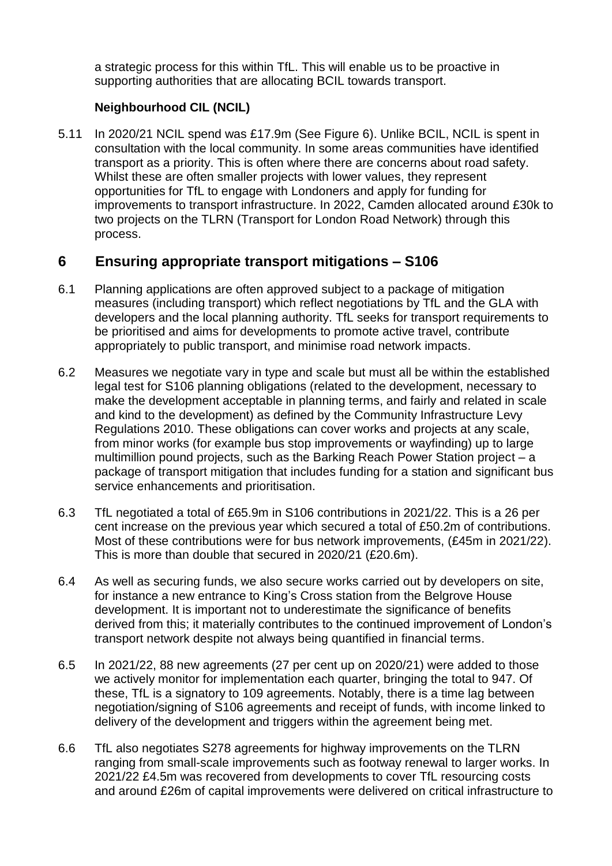a strategic process for this within TfL. This will enable us to be proactive in supporting authorities that are allocating BCIL towards transport.

### **Neighbourhood CIL (NCIL)**

5.11 In 2020/21 NCIL spend was £17.9m (See Figure 6). Unlike BCIL, NCIL is spent in consultation with the local community. In some areas communities have identified transport as a priority. This is often where there are concerns about road safety. Whilst these are often smaller projects with lower values, they represent opportunities for TfL to engage with Londoners and apply for funding for improvements to transport infrastructure. In 2022, Camden allocated around £30k to two projects on the TLRN (Transport for London Road Network) through this process.

## **6 Ensuring appropriate transport mitigations – S106**

- 6.1 Planning applications are often approved subject to a package of mitigation measures (including transport) which reflect negotiations by TfL and the GLA with developers and the local planning authority. TfL seeks for transport requirements to be prioritised and aims for developments to promote active travel, contribute appropriately to public transport, and minimise road network impacts.
- 6.2 Measures we negotiate vary in type and scale but must all be within the established legal test for S106 planning obligations (related to the development, necessary to make the development acceptable in planning terms, and fairly and related in scale and kind to the development) as defined by the Community Infrastructure Levy Regulations 2010. These obligations can cover works and projects at any scale, from minor works (for example bus stop improvements or wayfinding) up to large multimillion pound projects, such as the Barking Reach Power Station project – a package of transport mitigation that includes funding for a station and significant bus service enhancements and prioritisation.
- 6.3 TfL negotiated a total of £65.9m in S106 contributions in 2021/22. This is a 26 per cent increase on the previous year which secured a total of £50.2m of contributions. Most of these contributions were for bus network improvements, (£45m in 2021/22). This is more than double that secured in 2020/21 (£20.6m).
- 6.4 As well as securing funds, we also secure works carried out by developers on site, for instance a new entrance to King's Cross station from the Belgrove House development. It is important not to underestimate the significance of benefits derived from this; it materially contributes to the continued improvement of London's transport network despite not always being quantified in financial terms.
- 6.5 In 2021/22, 88 new agreements (27 per cent up on 2020/21) were added to those we actively monitor for implementation each quarter, bringing the total to 947. Of these, TfL is a signatory to 109 agreements. Notably, there is a time lag between negotiation/signing of S106 agreements and receipt of funds, with income linked to delivery of the development and triggers within the agreement being met.
- 6.6 TfL also negotiates S278 agreements for highway improvements on the TLRN ranging from small-scale improvements such as footway renewal to larger works. In 2021/22 £4.5m was recovered from developments to cover TfL resourcing costs and around £26m of capital improvements were delivered on critical infrastructure to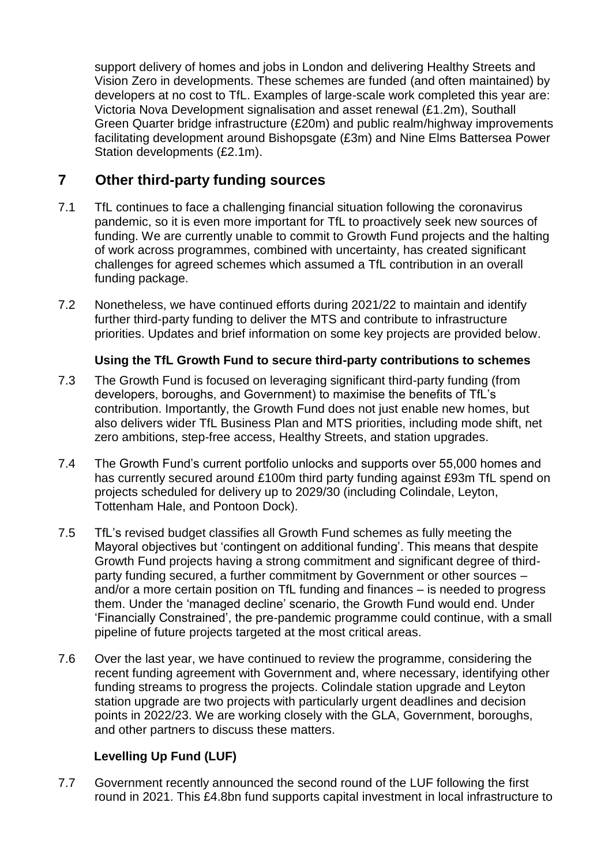support delivery of homes and jobs in London and delivering Healthy Streets and Vision Zero in developments. These schemes are funded (and often maintained) by developers at no cost to TfL. Examples of large-scale work completed this year are: Victoria Nova Development signalisation and asset renewal (£1.2m), Southall Green Quarter bridge infrastructure (£20m) and public realm/highway improvements facilitating development around Bishopsgate (£3m) and Nine Elms Battersea Power Station developments (£2.1m).

# **7 Other third-party funding sources**

- 7.1 TfL continues to face a challenging financial situation following the coronavirus pandemic, so it is even more important for TfL to proactively seek new sources of funding. We are currently unable to commit to Growth Fund projects and the halting of work across programmes, combined with uncertainty, has created significant challenges for agreed schemes which assumed a TfL contribution in an overall funding package.
- 7.2 Nonetheless, we have continued efforts during 2021/22 to maintain and identify further third-party funding to deliver the MTS and contribute to infrastructure priorities. Updates and brief information on some key projects are provided below.

### **Using the TfL Growth Fund to secure third-party contributions to schemes**

- 7.3 The Growth Fund is focused on leveraging significant third-party funding (from developers, boroughs, and Government) to maximise the benefits of TfL's contribution. Importantly, the Growth Fund does not just enable new homes, but also delivers wider TfL Business Plan and MTS priorities, including mode shift, net zero ambitions, step-free access, Healthy Streets, and station upgrades.
- 7.4 The Growth Fund's current portfolio unlocks and supports over 55,000 homes and has currently secured around £100m third party funding against £93m TfL spend on projects scheduled for delivery up to 2029/30 (including Colindale, Leyton, Tottenham Hale, and Pontoon Dock).
- 7.5 TfL's revised budget classifies all Growth Fund schemes as fully meeting the Mayoral objectives but 'contingent on additional funding'. This means that despite Growth Fund projects having a strong commitment and significant degree of thirdparty funding secured, a further commitment by Government or other sources – and/or a more certain position on TfL funding and finances – is needed to progress them. Under the 'managed decline' scenario, the Growth Fund would end. Under 'Financially Constrained', the pre-pandemic programme could continue, with a small pipeline of future projects targeted at the most critical areas.
- 7.6 Over the last year, we have continued to review the programme, considering the recent funding agreement with Government and, where necessary, identifying other funding streams to progress the projects. Colindale station upgrade and Leyton station upgrade are two projects with particularly urgent deadlines and decision points in 2022/23. We are working closely with the GLA, Government, boroughs, and other partners to discuss these matters.

## **Levelling Up Fund (LUF)**

7.7 Government recently announced the second round of the LUF following the first round in 2021. This £4.8bn fund supports capital investment in local infrastructure to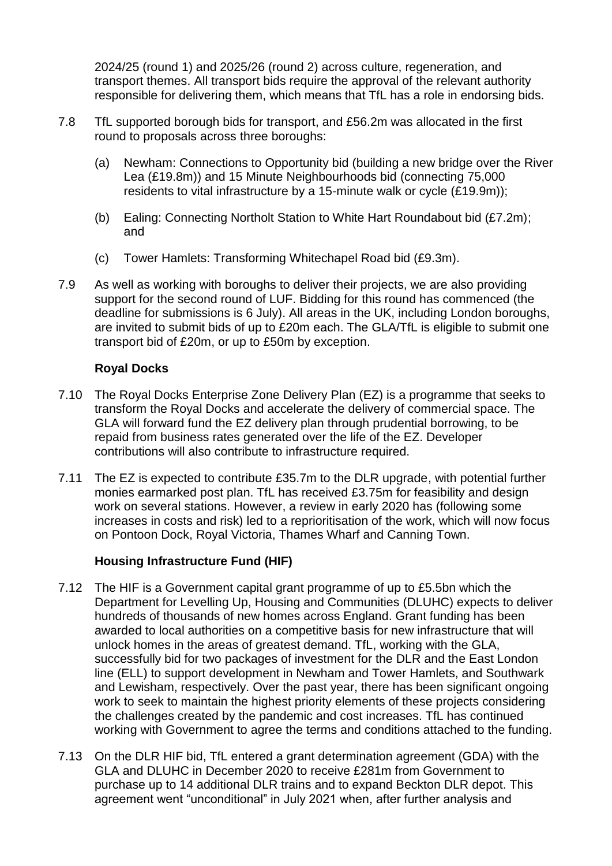2024/25 (round 1) and 2025/26 (round 2) across culture, regeneration, and transport themes. All transport bids require the approval of the relevant authority responsible for delivering them, which means that TfL has a role in endorsing bids.

- 7.8 TfL supported borough bids for transport, and £56.2m was allocated in the first round to proposals across three boroughs:
	- (a) Newham: Connections to Opportunity bid (building a new bridge over the River Lea (£19.8m)) and 15 Minute Neighbourhoods bid (connecting 75,000 residents to vital infrastructure by a 15-minute walk or cycle (£19.9m));
	- (b) Ealing: Connecting Northolt Station to White Hart Roundabout bid (£7.2m); and
	- (c) Tower Hamlets: Transforming Whitechapel Road bid (£9.3m).
- 7.9 As well as working with boroughs to deliver their projects, we are also providing support for the second round of LUF. Bidding for this round has commenced (the deadline for submissions is 6 July). All areas in the UK, including London boroughs, are invited to submit bids of up to £20m each. The GLA/TfL is eligible to submit one transport bid of £20m, or up to £50m by exception.

### **Royal Docks**

- 7.10 The Royal Docks Enterprise Zone Delivery Plan (EZ) is a programme that seeks to transform the Royal Docks and accelerate the delivery of commercial space. The GLA will forward fund the EZ delivery plan through prudential borrowing, to be repaid from business rates generated over the life of the EZ. Developer contributions will also contribute to infrastructure required.
- 7.11 The EZ is expected to contribute £35.7m to the DLR upgrade, with potential further monies earmarked post plan. TfL has received £3.75m for feasibility and design work on several stations. However, a review in early 2020 has (following some increases in costs and risk) led to a reprioritisation of the work, which will now focus on Pontoon Dock, Royal Victoria, Thames Wharf and Canning Town.

### **Housing Infrastructure Fund (HIF)**

- 7.12 The HIF is a Government capital grant programme of up to £5.5bn which the Department for Levelling Up, Housing and Communities (DLUHC) expects to deliver hundreds of thousands of new homes across England. Grant funding has been awarded to local authorities on a competitive basis for new infrastructure that will unlock homes in the areas of greatest demand. TfL, working with the GLA, successfully bid for two packages of investment for the DLR and the East London line (ELL) to support development in Newham and Tower Hamlets, and Southwark and Lewisham, respectively. Over the past year, there has been significant ongoing work to seek to maintain the highest priority elements of these projects considering the challenges created by the pandemic and cost increases. TfL has continued working with Government to agree the terms and conditions attached to the funding.
- 7.13 On the DLR HIF bid, TfL entered a grant determination agreement (GDA) with the GLA and DLUHC in December 2020 to receive £281m from Government to purchase up to 14 additional DLR trains and to expand Beckton DLR depot. This agreement went "unconditional" in July 2021 when, after further analysis and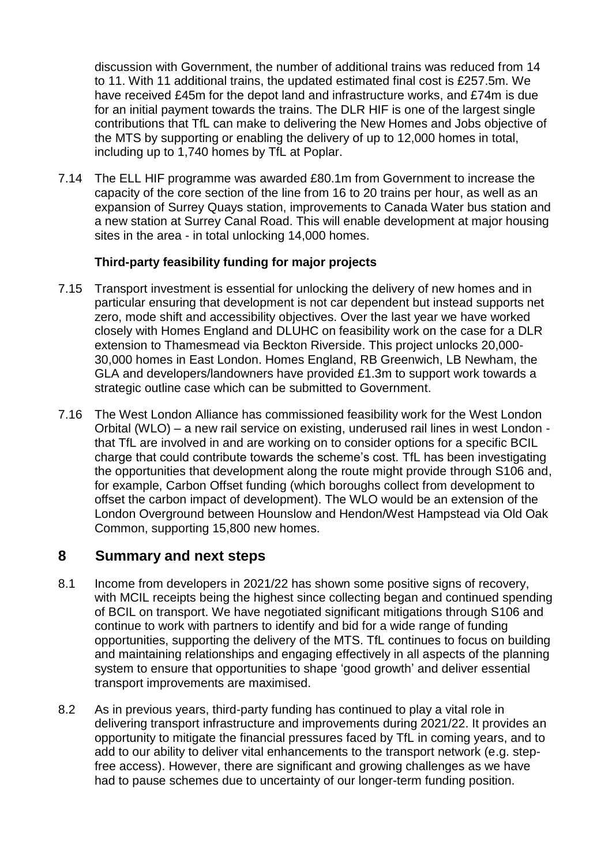discussion with Government, the number of additional trains was reduced from 14 to 11. With 11 additional trains, the updated estimated final cost is £257.5m. We have received £45m for the depot land and infrastructure works, and £74m is due for an initial payment towards the trains. The DLR HIF is one of the largest single contributions that TfL can make to delivering the New Homes and Jobs objective of the MTS by supporting or enabling the delivery of up to 12,000 homes in total, including up to 1,740 homes by TfL at Poplar.

7.14 The ELL HIF programme was awarded £80.1m from Government to increase the capacity of the core section of the line from 16 to 20 trains per hour, as well as an expansion of Surrey Quays station, improvements to Canada Water bus station and a new station at Surrey Canal Road. This will enable development at major housing sites in the area - in total unlocking 14,000 homes.

### **Third-party feasibility funding for major projects**

- 7.15 Transport investment is essential for unlocking the delivery of new homes and in particular ensuring that development is not car dependent but instead supports net zero, mode shift and accessibility objectives. Over the last year we have worked closely with Homes England and DLUHC on feasibility work on the case for a DLR extension to Thamesmead via Beckton Riverside. This project unlocks 20,000- 30,000 homes in East London. Homes England, RB Greenwich, LB Newham, the GLA and developers/landowners have provided £1.3m to support work towards a strategic outline case which can be submitted to Government.
- 7.16 The West London Alliance has commissioned feasibility work for the West London Orbital (WLO) – a new rail service on existing, underused rail lines in west London that TfL are involved in and are working on to consider options for a specific BCIL charge that could contribute towards the scheme's cost. TfL has been investigating the opportunities that development along the route might provide through S106 and, for example, Carbon Offset funding (which boroughs collect from development to offset the carbon impact of development). The WLO would be an extension of the London Overground between Hounslow and Hendon/West Hampstead via Old Oak Common, supporting 15,800 new homes.

## **8 Summary and next steps**

- 8.1 Income from developers in 2021/22 has shown some positive signs of recovery, with MCIL receipts being the highest since collecting began and continued spending of BCIL on transport. We have negotiated significant mitigations through S106 and continue to work with partners to identify and bid for a wide range of funding opportunities, supporting the delivery of the MTS. TfL continues to focus on building and maintaining relationships and engaging effectively in all aspects of the planning system to ensure that opportunities to shape 'good growth' and deliver essential transport improvements are maximised.
- 8.2 As in previous years, third-party funding has continued to play a vital role in delivering transport infrastructure and improvements during 2021/22. It provides an opportunity to mitigate the financial pressures faced by TfL in coming years, and to add to our ability to deliver vital enhancements to the transport network (e.g. stepfree access). However, there are significant and growing challenges as we have had to pause schemes due to uncertainty of our longer-term funding position.